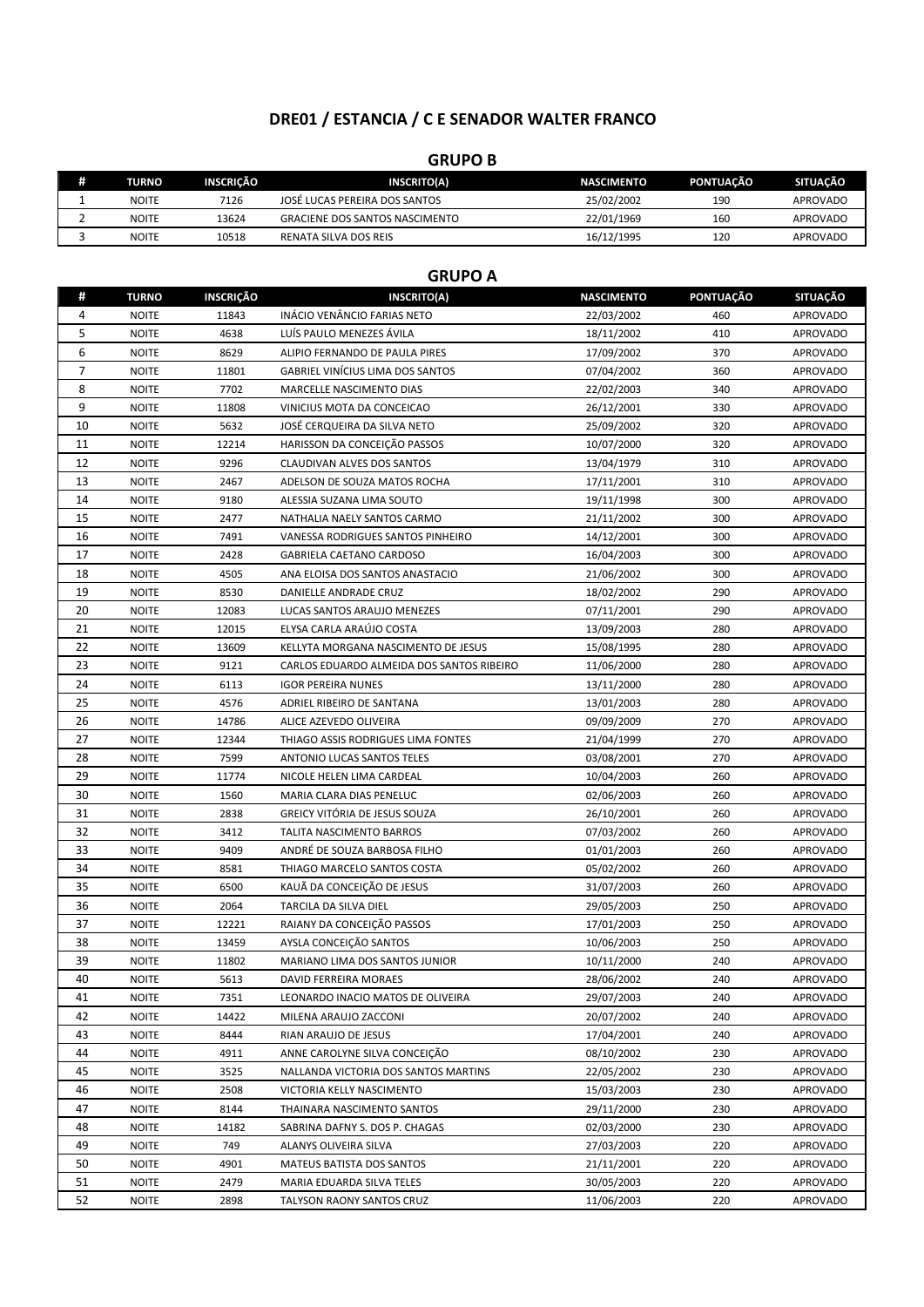# **DRE01 / ESTANCIA / C E SENADOR WALTER FRANCO**

### **GRUPO B**

| Ð | <b>TURNO</b> | <b>INSCRICÃO</b> | <b>INSCRITO(A)</b>                    | <b>NASCIMENTO</b> | PONTUACÃO | <b>SITUACÃO</b> |
|---|--------------|------------------|---------------------------------------|-------------------|-----------|-----------------|
|   | <b>NOITE</b> | 7126             | JOSÉ LUCAS PEREIRA DOS SANTOS         | 25/02/2002        | 190       | <b>APROVADO</b> |
|   | <b>NOITE</b> | 13624            | <b>GRACIENE DOS SANTOS NASCIMENTO</b> | 22/01/1969        | 160       | <b>APROVADO</b> |
|   | <b>NOITE</b> | 10518            | RENATA SILVA DOS REIS                 | 16/12/1995        | 120       | <b>APROVADO</b> |

### **GRUPO A**

| #              | <b>TURNO</b> | <b>INSCRIÇÃO</b> | <b>INSCRITO(A)</b>                        | <b>NASCIMENTO</b> | <b>PONTUAÇÃO</b> | <b>SITUAÇÃO</b> |
|----------------|--------------|------------------|-------------------------------------------|-------------------|------------------|-----------------|
| 4              | <b>NOITE</b> | 11843            | INÁCIO VENÂNCIO FARIAS NETO               | 22/03/2002        | 460              | <b>APROVADO</b> |
| 5              | <b>NOITE</b> | 4638             | LUÍS PAULO MENEZES ÁVILA                  | 18/11/2002        | 410              | <b>APROVADO</b> |
| 6              | <b>NOITE</b> | 8629             | ALIPIO FERNANDO DE PAULA PIRES            | 17/09/2002        | 370              | <b>APROVADO</b> |
| $\overline{7}$ | <b>NOITE</b> | 11801            | <b>GABRIEL VINÍCIUS LIMA DOS SANTOS</b>   | 07/04/2002        | 360              | <b>APROVADO</b> |
| 8              | <b>NOITE</b> | 7702             | MARCELLE NASCIMENTO DIAS                  | 22/02/2003        | 340              | <b>APROVADO</b> |
| 9              | <b>NOITE</b> | 11808            | VINICIUS MOTA DA CONCEICAO                | 26/12/2001        | 330              | <b>APROVADO</b> |
| 10             | <b>NOITE</b> | 5632             | JOSÉ CERQUEIRA DA SILVA NETO              | 25/09/2002        | 320              | <b>APROVADO</b> |
| 11             | <b>NOITE</b> | 12214            | HARISSON DA CONCEIÇÃO PASSOS              | 10/07/2000        | 320              | <b>APROVADO</b> |
| 12             | <b>NOITE</b> | 9296             | CLAUDIVAN ALVES DOS SANTOS                | 13/04/1979        | 310              | <b>APROVADO</b> |
| 13             | <b>NOITE</b> | 2467             | ADELSON DE SOUZA MATOS ROCHA              | 17/11/2001        | 310              | <b>APROVADO</b> |
| 14             | <b>NOITE</b> | 9180             | ALESSIA SUZANA LIMA SOUTO                 | 19/11/1998        | 300              | <b>APROVADO</b> |
| 15             | <b>NOITE</b> | 2477             | NATHALIA NAELY SANTOS CARMO               | 21/11/2002        | 300              | <b>APROVADO</b> |
| 16             | <b>NOITE</b> | 7491             | VANESSA RODRIGUES SANTOS PINHEIRO         | 14/12/2001        | 300              | <b>APROVADO</b> |
| 17             | <b>NOITE</b> | 2428             | GABRIELA CAETANO CARDOSO                  | 16/04/2003        | 300              | <b>APROVADO</b> |
| 18             | <b>NOITE</b> | 4505             | ANA ELOISA DOS SANTOS ANASTACIO           | 21/06/2002        | 300              | <b>APROVADO</b> |
| 19             | <b>NOITE</b> | 8530             | DANIELLE ANDRADE CRUZ                     | 18/02/2002        | 290              | <b>APROVADO</b> |
| 20             | <b>NOITE</b> | 12083            | LUCAS SANTOS ARAUJO MENEZES               | 07/11/2001        | 290              | <b>APROVADO</b> |
| 21             | <b>NOITE</b> | 12015            | ELYSA CARLA ARAÚJO COSTA                  | 13/09/2003        | 280              | <b>APROVADO</b> |
| 22             | <b>NOITE</b> | 13609            | KELLYTA MORGANA NASCIMENTO DE JESUS       | 15/08/1995        | 280              | <b>APROVADO</b> |
| 23             | <b>NOITE</b> | 9121             | CARLOS EDUARDO ALMEIDA DOS SANTOS RIBEIRO | 11/06/2000        | 280              | <b>APROVADO</b> |
| 24             | <b>NOITE</b> | 6113             | <b>IGOR PEREIRA NUNES</b>                 | 13/11/2000        | 280              | <b>APROVADO</b> |
| 25             | <b>NOITE</b> | 4576             | ADRIEL RIBEIRO DE SANTANA                 | 13/01/2003        | 280              | <b>APROVADO</b> |
| 26             | <b>NOITE</b> | 14786            | ALICE AZEVEDO OLIVEIRA                    | 09/09/2009        | 270              | APROVADO        |
| 27             | <b>NOITE</b> | 12344            | THIAGO ASSIS RODRIGUES LIMA FONTES        | 21/04/1999        | 270              | <b>APROVADO</b> |
| 28             | <b>NOITE</b> | 7599             | ANTONIO LUCAS SANTOS TELES                | 03/08/2001        | 270              | <b>APROVADO</b> |
| 29             | <b>NOITE</b> | 11774            | NICOLE HELEN LIMA CARDEAL                 | 10/04/2003        | 260              | <b>APROVADO</b> |
| 30             | <b>NOITE</b> | 1560             | MARIA CLARA DIAS PENELUC                  | 02/06/2003        | 260              | <b>APROVADO</b> |
| 31             | <b>NOITE</b> | 2838             | GREICY VITÓRIA DE JESUS SOUZA             | 26/10/2001        | 260              | <b>APROVADO</b> |
| 32             | <b>NOITE</b> | 3412             | <b>TALITA NASCIMENTO BARROS</b>           | 07/03/2002        | 260              | <b>APROVADO</b> |
| 33             | <b>NOITE</b> | 9409             | ANDRÉ DE SOUZA BARBOSA FILHO              | 01/01/2003        | 260              | <b>APROVADO</b> |
| 34             | <b>NOITE</b> | 8581             | THIAGO MARCELO SANTOS COSTA               | 05/02/2002        | 260              | <b>APROVADO</b> |
| 35             | <b>NOITE</b> | 6500             | KAUÃ DA CONCEIÇÃO DE JESUS                | 31/07/2003        | 260              | <b>APROVADO</b> |
| 36             | <b>NOITE</b> | 2064             | TARCILA DA SILVA DIEL                     | 29/05/2003        | 250              | APROVADO        |
| 37             | <b>NOITE</b> | 12221            | RAIANY DA CONCEIÇÃO PASSOS                | 17/01/2003        | 250              | <b>APROVADO</b> |
| 38             | <b>NOITE</b> | 13459            | AYSLA CONCEIÇÃO SANTOS                    | 10/06/2003        | 250              | APROVADO        |
| 39             | <b>NOITE</b> | 11802            | MARIANO LIMA DOS SANTOS JUNIOR            | 10/11/2000        | 240              | APROVADO        |
| 40             | <b>NOITE</b> | 5613             | <b>DAVID FERREIRA MORAES</b>              | 28/06/2002        | 240              | <b>APROVADO</b> |
| 41             | <b>NOITE</b> | 7351             | LEONARDO INACIO MATOS DE OLIVEIRA         | 29/07/2003        | 240              | <b>APROVADO</b> |
| 42             | <b>NOITE</b> | 14422            | MILENA ARAUJO ZACCONI                     | 20/07/2002        | 240              | APROVADO        |
| 43             | <b>NOITE</b> | 8444             | RIAN ARAUJO DE JESUS                      | 17/04/2001        | 240              | APROVADO        |
| 44             | <b>NOITE</b> | 4911             | ANNE CAROLYNE SILVA CONCEIÇÃO             | 08/10/2002        | 230              | APROVADO        |
| 45             | <b>NOITE</b> | 3525             | NALLANDA VICTORIA DOS SANTOS MARTINS      | 22/05/2002        | 230              | APROVADO        |
| 46             | <b>NOITE</b> | 2508             | VICTORIA KELLY NASCIMENTO                 | 15/03/2003        | 230              | <b>APROVADO</b> |
| 47             | <b>NOITE</b> | 8144             | THAINARA NASCIMENTO SANTOS                | 29/11/2000        | 230              | APROVADO        |
| 48             | <b>NOITE</b> | 14182            | SABRINA DAFNY S. DOS P. CHAGAS            | 02/03/2000        | 230              | <b>APROVADO</b> |
| 49             | <b>NOITE</b> | 749              | ALANYS OLIVEIRA SILVA                     | 27/03/2003        | 220              | <b>APROVADO</b> |
| 50             | <b>NOITE</b> | 4901             | MATEUS BATISTA DOS SANTOS                 | 21/11/2001        | 220              | <b>APROVADO</b> |
| 51             | <b>NOITE</b> | 2479             | MARIA EDUARDA SILVA TELES                 | 30/05/2003        | 220              | <b>APROVADO</b> |
| 52             | <b>NOITE</b> | 2898             | TALYSON RAONY SANTOS CRUZ                 | 11/06/2003        | 220              | <b>APROVADO</b> |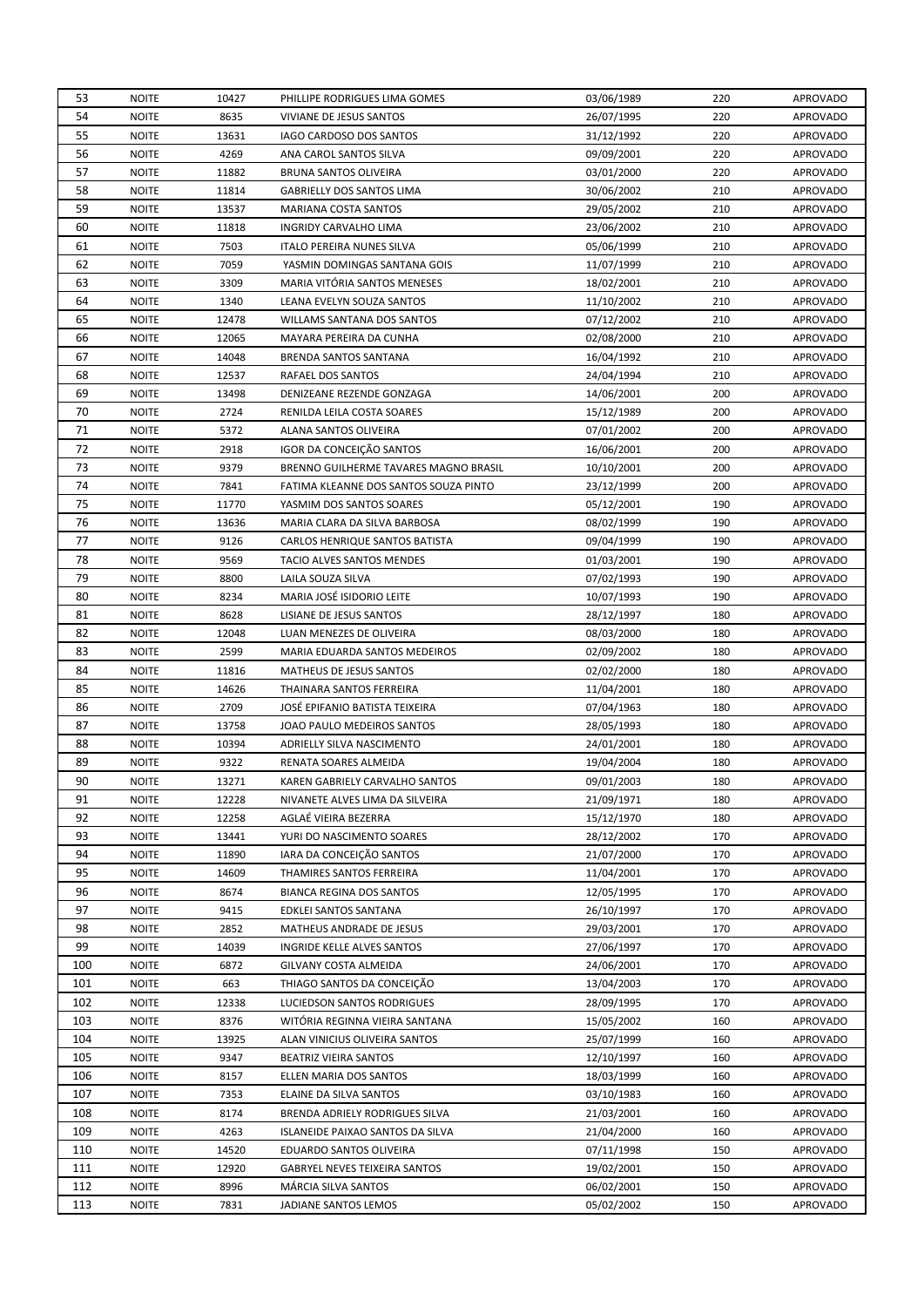| 53       | <b>NOITE</b> | 10427 | PHILLIPE RODRIGUES LIMA GOMES         | 03/06/1989 | 220 | <b>APROVADO</b> |
|----------|--------------|-------|---------------------------------------|------------|-----|-----------------|
| 54       | <b>NOITE</b> | 8635  | VIVIANE DE JESUS SANTOS               | 26/07/1995 | 220 | <b>APROVADO</b> |
| 55       | <b>NOITE</b> | 13631 | IAGO CARDOSO DOS SANTOS               | 31/12/1992 | 220 | <b>APROVADO</b> |
| 56       | <b>NOITE</b> | 4269  | ANA CAROL SANTOS SILVA                | 09/09/2001 | 220 | <b>APROVADO</b> |
| 57       | <b>NOITE</b> | 11882 | BRUNA SANTOS OLIVEIRA                 | 03/01/2000 | 220 | <b>APROVADO</b> |
| 58       | <b>NOITE</b> | 11814 | <b>GABRIELLY DOS SANTOS LIMA</b>      | 30/06/2002 | 210 | <b>APROVADO</b> |
| 59       | <b>NOITE</b> | 13537 | MARIANA COSTA SANTOS                  | 29/05/2002 | 210 | <b>APROVADO</b> |
| 60       | <b>NOITE</b> | 11818 | INGRIDY CARVALHO LIMA                 | 23/06/2002 | 210 | <b>APROVADO</b> |
| 61       | <b>NOITE</b> | 7503  | <b>ITALO PEREIRA NUNES SILVA</b>      | 05/06/1999 | 210 | <b>APROVADO</b> |
| 62       | <b>NOITE</b> | 7059  | YASMIN DOMINGAS SANTANA GOIS          | 11/07/1999 | 210 | <b>APROVADO</b> |
| 63       | <b>NOITE</b> | 3309  | MARIA VITÓRIA SANTOS MENESES          | 18/02/2001 | 210 | <b>APROVADO</b> |
| 64       | <b>NOITE</b> | 1340  | LEANA EVELYN SOUZA SANTOS             | 11/10/2002 | 210 | <b>APROVADO</b> |
| 65       | <b>NOITE</b> | 12478 | WILLAMS SANTANA DOS SANTOS            | 07/12/2002 | 210 | <b>APROVADO</b> |
| 66       | <b>NOITE</b> | 12065 | MAYARA PEREIRA DA CUNHA               | 02/08/2000 | 210 | <b>APROVADO</b> |
| 67       | <b>NOITE</b> | 14048 | BRENDA SANTOS SANTANA                 | 16/04/1992 | 210 | <b>APROVADO</b> |
| 68       | <b>NOITE</b> | 12537 | RAFAEL DOS SANTOS                     | 24/04/1994 | 210 | <b>APROVADO</b> |
| 69       | <b>NOITE</b> | 13498 | DENIZEANE REZENDE GONZAGA             | 14/06/2001 | 200 | <b>APROVADO</b> |
| 70       | <b>NOITE</b> | 2724  | RENILDA LEILA COSTA SOARES            | 15/12/1989 | 200 | <b>APROVADO</b> |
| 71       | <b>NOITE</b> | 5372  | ALANA SANTOS OLIVEIRA                 | 07/01/2002 | 200 | <b>APROVADO</b> |
|          | <b>NOITE</b> |       |                                       |            |     |                 |
| 72       |              | 2918  | IGOR DA CONCEIÇÃO SANTOS              | 16/06/2001 | 200 | <b>APROVADO</b> |
| 73<br>74 | <b>NOITE</b> | 9379  | BRENNO GUILHERME TAVARES MAGNO BRASIL | 10/10/2001 | 200 | <b>APROVADO</b> |
|          | <b>NOITE</b> | 7841  | FATIMA KLEANNE DOS SANTOS SOUZA PINTO | 23/12/1999 | 200 | <b>APROVADO</b> |
| 75       | <b>NOITE</b> | 11770 | YASMIM DOS SANTOS SOARES              | 05/12/2001 | 190 | <b>APROVADO</b> |
| 76       | <b>NOITE</b> | 13636 | MARIA CLARA DA SILVA BARBOSA          | 08/02/1999 | 190 | <b>APROVADO</b> |
| 77       | <b>NOITE</b> | 9126  | CARLOS HENRIQUE SANTOS BATISTA        | 09/04/1999 | 190 | <b>APROVADO</b> |
| 78       | <b>NOITE</b> | 9569  | TACIO ALVES SANTOS MENDES             | 01/03/2001 | 190 | <b>APROVADO</b> |
| 79       | <b>NOITE</b> | 8800  | LAILA SOUZA SILVA                     | 07/02/1993 | 190 | <b>APROVADO</b> |
| 80       | <b>NOITE</b> | 8234  | MARIA JOSÉ ISIDORIO LEITE             | 10/07/1993 | 190 | <b>APROVADO</b> |
| 81       | <b>NOITE</b> | 8628  | LISIANE DE JESUS SANTOS               | 28/12/1997 | 180 | <b>APROVADO</b> |
| 82       | <b>NOITE</b> | 12048 | LUAN MENEZES DE OLIVEIRA              | 08/03/2000 | 180 | <b>APROVADO</b> |
| 83       | <b>NOITE</b> | 2599  | MARIA EDUARDA SANTOS MEDEIROS         | 02/09/2002 | 180 | <b>APROVADO</b> |
| 84       | <b>NOITE</b> | 11816 | MATHEUS DE JESUS SANTOS               | 02/02/2000 | 180 | <b>APROVADO</b> |
| 85       | <b>NOITE</b> | 14626 | THAINARA SANTOS FERREIRA              | 11/04/2001 | 180 | <b>APROVADO</b> |
| 86       | <b>NOITE</b> | 2709  | JOSÉ EPIFANIO BATISTA TEIXEIRA        | 07/04/1963 | 180 | <b>APROVADO</b> |
| 87       | <b>NOITE</b> | 13758 | JOAO PAULO MEDEIROS SANTOS            | 28/05/1993 | 180 | <b>APROVADO</b> |
| 88       | <b>NOITE</b> | 10394 | ADRIELLY SILVA NASCIMENTO             | 24/01/2001 | 180 | <b>APROVADO</b> |
| 89       | <b>NOITE</b> | 9322  | RENATA SOARES ALMEIDA                 | 19/04/2004 | 180 | <b>APROVADO</b> |
| 90       | <b>NOITE</b> | 13271 | KAREN GABRIELY CARVALHO SANTOS        | 09/01/2003 | 180 | <b>APROVADO</b> |
| 91       | <b>NOITE</b> | 12228 | NIVANETE ALVES LIMA DA SILVEIRA       | 21/09/1971 | 180 | <b>APROVADO</b> |
| 92       | <b>NOITE</b> | 12258 | AGLAÉ VIEIRA BEZERRA                  | 15/12/1970 | 180 | <b>APROVADO</b> |
| 93       | <b>NOITE</b> | 13441 | YURI DO NASCIMENTO SOARES             | 28/12/2002 | 170 | <b>APROVADO</b> |
| 94       | <b>NOITE</b> | 11890 | IARA DA CONCEIÇÃO SANTOS              | 21/07/2000 | 170 | <b>APROVADO</b> |
| 95       | <b>NOITE</b> | 14609 | THAMIRES SANTOS FERREIRA              | 11/04/2001 | 170 | <b>APROVADO</b> |
| 96       | <b>NOITE</b> | 8674  | <b>BIANCA REGINA DOS SANTOS</b>       | 12/05/1995 | 170 | <b>APROVADO</b> |
| 97       | <b>NOITE</b> | 9415  | EDKLEI SANTOS SANTANA                 | 26/10/1997 | 170 | <b>APROVADO</b> |
| 98       | <b>NOITE</b> | 2852  | MATHEUS ANDRADE DE JESUS              | 29/03/2001 | 170 | <b>APROVADO</b> |
| 99       | <b>NOITE</b> | 14039 | INGRIDE KELLE ALVES SANTOS            | 27/06/1997 | 170 | <b>APROVADO</b> |
| 100      | <b>NOITE</b> | 6872  | GILVANY COSTA ALMEIDA                 | 24/06/2001 | 170 | <b>APROVADO</b> |
| 101      | <b>NOITE</b> | 663   | THIAGO SANTOS DA CONCEIÇÃO            | 13/04/2003 | 170 | <b>APROVADO</b> |
| 102      | <b>NOITE</b> | 12338 | LUCIEDSON SANTOS RODRIGUES            | 28/09/1995 | 170 | <b>APROVADO</b> |
| 103      | <b>NOITE</b> | 8376  | WITORIA REGINNA VIEIRA SANTANA        | 15/05/2002 | 160 | <b>APROVADO</b> |
| 104      | <b>NOITE</b> | 13925 | ALAN VINICIUS OLIVEIRA SANTOS         | 25/07/1999 | 160 | APROVADO        |
| 105      | <b>NOITE</b> | 9347  | BEATRIZ VIEIRA SANTOS                 | 12/10/1997 | 160 | <b>APROVADO</b> |
| 106      | <b>NOITE</b> | 8157  | ELLEN MARIA DOS SANTOS                | 18/03/1999 | 160 | <b>APROVADO</b> |
| 107      | <b>NOITE</b> | 7353  | ELAINE DA SILVA SANTOS                | 03/10/1983 | 160 | <b>APROVADO</b> |
| 108      | <b>NOITE</b> | 8174  | BRENDA ADRIELY RODRIGUES SILVA        | 21/03/2001 | 160 | <b>APROVADO</b> |
| 109      | <b>NOITE</b> | 4263  | ISLANEIDE PAIXAO SANTOS DA SILVA      | 21/04/2000 | 160 | <b>APROVADO</b> |
| 110      | <b>NOITE</b> | 14520 | EDUARDO SANTOS OLIVEIRA               | 07/11/1998 | 150 | <b>APROVADO</b> |
| 111      | <b>NOITE</b> | 12920 | <b>GABRYEL NEVES TEIXEIRA SANTOS</b>  | 19/02/2001 | 150 | APROVADO        |
| 112      | <b>NOITE</b> | 8996  | MÁRCIA SILVA SANTOS                   | 06/02/2001 | 150 | <b>APROVADO</b> |
| 113      | <b>NOITE</b> | 7831  | JADIANE SANTOS LEMOS                  | 05/02/2002 | 150 | APROVADO        |
|          |              |       |                                       |            |     |                 |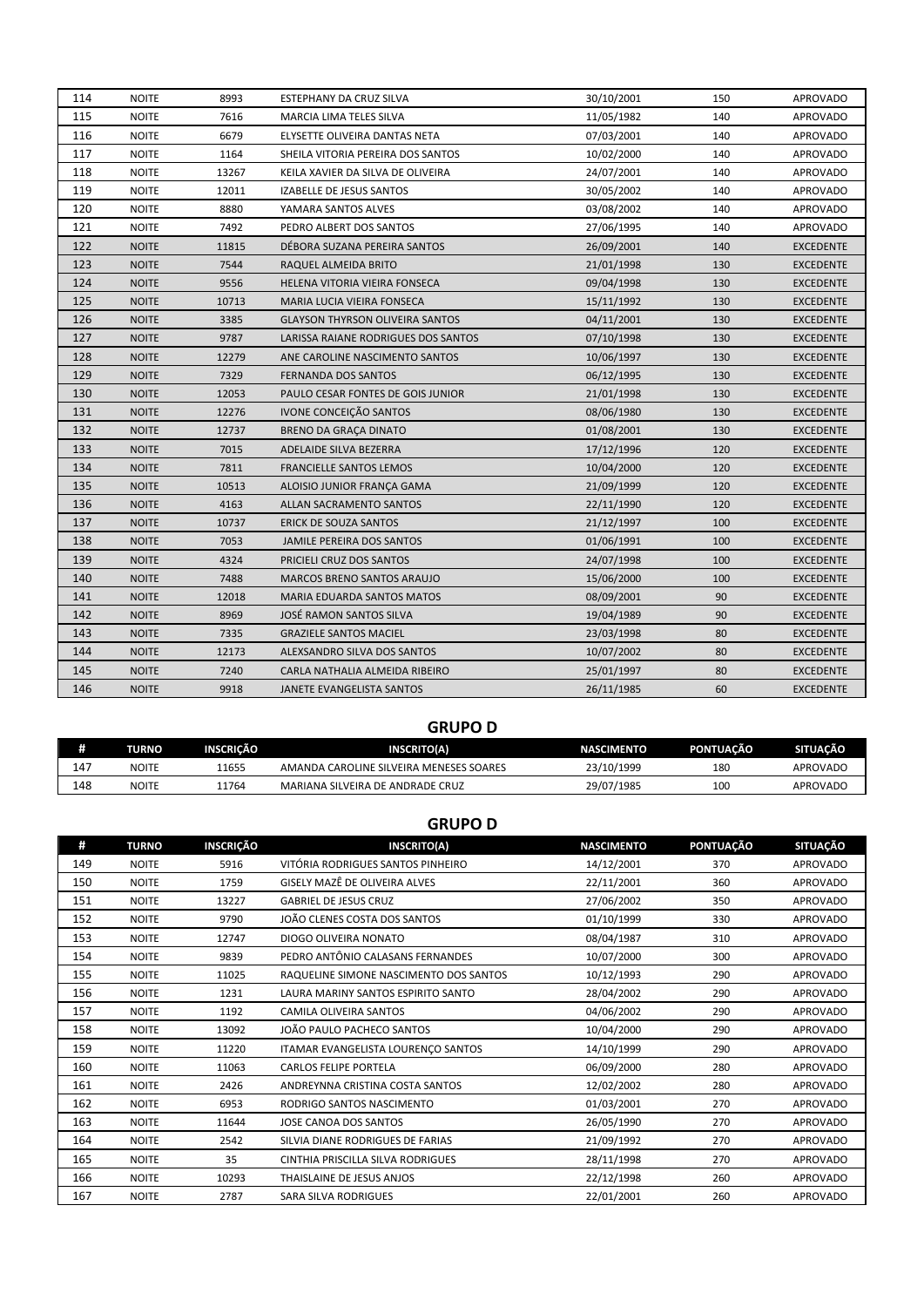| 114 | <b>NOITE</b> | 8993  | ESTEPHANY DA CRUZ SILVA                | 30/10/2001 | 150 | <b>APROVADO</b>  |
|-----|--------------|-------|----------------------------------------|------------|-----|------------------|
| 115 | <b>NOITE</b> | 7616  | <b>MARCIA LIMA TELES SILVA</b>         | 11/05/1982 | 140 | <b>APROVADO</b>  |
| 116 | <b>NOITE</b> | 6679  | ELYSETTE OLIVEIRA DANTAS NETA          | 07/03/2001 | 140 | <b>APROVADO</b>  |
| 117 | <b>NOITE</b> | 1164  | SHEILA VITORIA PEREIRA DOS SANTOS      | 10/02/2000 | 140 | <b>APROVADO</b>  |
| 118 | <b>NOITE</b> | 13267 | KEILA XAVIER DA SILVA DE OLIVEIRA      | 24/07/2001 | 140 | <b>APROVADO</b>  |
| 119 | <b>NOITE</b> | 12011 | IZABELLE DE JESUS SANTOS               | 30/05/2002 | 140 | <b>APROVADO</b>  |
| 120 | <b>NOITE</b> | 8880  | YAMARA SANTOS ALVES                    | 03/08/2002 | 140 | <b>APROVADO</b>  |
| 121 | <b>NOITE</b> | 7492  | PEDRO ALBERT DOS SANTOS                | 27/06/1995 | 140 | <b>APROVADO</b>  |
| 122 | <b>NOITE</b> | 11815 | DÉBORA SUZANA PEREIRA SANTOS           | 26/09/2001 | 140 | <b>EXCEDENTE</b> |
| 123 | <b>NOITE</b> | 7544  | RAQUEL ALMEIDA BRITO                   | 21/01/1998 | 130 | <b>EXCEDENTE</b> |
| 124 | <b>NOITE</b> | 9556  | HELENA VITORIA VIEIRA FONSECA          | 09/04/1998 | 130 | <b>EXCEDENTE</b> |
| 125 | <b>NOITE</b> | 10713 | MARIA LUCIA VIEIRA FONSECA             | 15/11/1992 | 130 | <b>EXCEDENTE</b> |
| 126 | <b>NOITE</b> | 3385  | <b>GLAYSON THYRSON OLIVEIRA SANTOS</b> | 04/11/2001 | 130 | <b>EXCEDENTE</b> |
| 127 | <b>NOITE</b> | 9787  | LARISSA RAIANE RODRIGUES DOS SANTOS    | 07/10/1998 | 130 | <b>EXCEDENTE</b> |
| 128 | <b>NOITE</b> | 12279 | ANE CAROLINE NASCIMENTO SANTOS         | 10/06/1997 | 130 | <b>EXCEDENTE</b> |
| 129 | <b>NOITE</b> | 7329  | <b>FERNANDA DOS SANTOS</b>             | 06/12/1995 | 130 | <b>EXCEDENTE</b> |
| 130 | <b>NOITE</b> | 12053 | PAULO CESAR FONTES DE GOIS JUNIOR      | 21/01/1998 | 130 | <b>EXCEDENTE</b> |
| 131 | <b>NOITE</b> | 12276 | IVONE CONCEIÇÃO SANTOS                 | 08/06/1980 | 130 | <b>EXCEDENTE</b> |
| 132 | <b>NOITE</b> | 12737 | <b>BRENO DA GRAÇA DINATO</b>           | 01/08/2001 | 130 | <b>EXCEDENTE</b> |
| 133 | <b>NOITE</b> | 7015  | ADELAIDE SILVA BEZERRA                 | 17/12/1996 | 120 | <b>EXCEDENTE</b> |
| 134 | <b>NOITE</b> | 7811  | <b>FRANCIELLE SANTOS LEMOS</b>         | 10/04/2000 | 120 | <b>EXCEDENTE</b> |
| 135 | <b>NOITE</b> | 10513 | ALOISIO JUNIOR FRANÇA GAMA             | 21/09/1999 | 120 | <b>EXCEDENTE</b> |
| 136 | <b>NOITE</b> | 4163  | ALLAN SACRAMENTO SANTOS                | 22/11/1990 | 120 | <b>EXCEDENTE</b> |
| 137 | <b>NOITE</b> | 10737 | <b>ERICK DE SOUZA SANTOS</b>           | 21/12/1997 | 100 | EXCEDENTE        |
| 138 | <b>NOITE</b> | 7053  | JAMILE PEREIRA DOS SANTOS              | 01/06/1991 | 100 | <b>EXCEDENTE</b> |
| 139 | <b>NOITE</b> | 4324  | PRICIELI CRUZ DOS SANTOS               | 24/07/1998 | 100 | <b>EXCEDENTE</b> |
| 140 | <b>NOITE</b> | 7488  | <b>MARCOS BRENO SANTOS ARAUJO</b>      | 15/06/2000 | 100 | <b>EXCEDENTE</b> |
| 141 | <b>NOITE</b> | 12018 | <b>MARIA EDUARDA SANTOS MATOS</b>      | 08/09/2001 | 90  | <b>EXCEDENTE</b> |
| 142 | <b>NOITE</b> | 8969  | JOSÉ RAMON SANTOS SILVA                | 19/04/1989 | 90  | EXCEDENTE        |
| 143 | <b>NOITE</b> | 7335  | <b>GRAZIELE SANTOS MACIEL</b>          | 23/03/1998 | 80  | <b>EXCEDENTE</b> |
| 144 | <b>NOITE</b> | 12173 | ALEXSANDRO SILVA DOS SANTOS            | 10/07/2002 | 80  | <b>EXCEDENTE</b> |
| 145 | <b>NOITE</b> | 7240  | CARLA NATHALIA ALMEIDA RIBEIRO         | 25/01/1997 | 80  | EXCEDENTE        |
| 146 | <b>NOITE</b> | 9918  | JANETE EVANGELISTA SANTOS              | 26/11/1985 | 60  | <b>EXCEDENTE</b> |

# **GRUPO D**

| #   | <b>TURNO</b> | INSCRICÃO | <b>INSCRITO(A)</b>                      | <b>NASCIMENTO</b> | <b>PONTUACÃO</b> | SITUACÃO |
|-----|--------------|-----------|-----------------------------------------|-------------------|------------------|----------|
| 147 | <b>NOITE</b> | 11655     | AMANDA CAROLINE SILVEIRA MENESES SOARES | 23/10/1999        | 180              | APROVADO |
| 148 | <b>NOITE</b> | 11764     | MARIANA SILVEIRA DE ANDRADE CRUZ        | 29/07/1985        | 100              | APROVADO |

## **GRUPO D**

| #   | <b>TURNO</b> | INSCRIÇÃO | <b>INSCRITO(A)</b>                     | <b>NASCIMENTO</b> | PONTUAÇÃO | <b>SITUAÇÃO</b> |
|-----|--------------|-----------|----------------------------------------|-------------------|-----------|-----------------|
| 149 | <b>NOITE</b> | 5916      | VITÓRIA RODRIGUES SANTOS PINHEIRO      | 14/12/2001        | 370       | <b>APROVADO</b> |
| 150 | <b>NOITE</b> | 1759      | GISELY MAZÊ DE OLIVEIRA ALVES          | 22/11/2001        | 360       | <b>APROVADO</b> |
| 151 | <b>NOITE</b> | 13227     | <b>GABRIEL DE JESUS CRUZ</b>           | 27/06/2002        | 350       | <b>APROVADO</b> |
| 152 | <b>NOITE</b> | 9790      | JOÃO CLENES COSTA DOS SANTOS           | 01/10/1999        | 330       | <b>APROVADO</b> |
| 153 | <b>NOITE</b> | 12747     | DIOGO OLIVEIRA NONATO                  | 08/04/1987        | 310       | <b>APROVADO</b> |
| 154 | <b>NOITE</b> | 9839      | PEDRO ANTÔNIO CALASANS FERNANDES       | 10/07/2000        | 300       | <b>APROVADO</b> |
| 155 | <b>NOITE</b> | 11025     | RAQUELINE SIMONE NASCIMENTO DOS SANTOS | 10/12/1993        | 290       | <b>APROVADO</b> |
| 156 | <b>NOITE</b> | 1231      | LAURA MARINY SANTOS ESPIRITO SANTO     | 28/04/2002        | 290       | <b>APROVADO</b> |
| 157 | <b>NOITE</b> | 1192      | CAMILA OLIVEIRA SANTOS                 | 04/06/2002        | 290       | <b>APROVADO</b> |
| 158 | <b>NOITE</b> | 13092     | JOÃO PAULO PACHECO SANTOS              | 10/04/2000        | 290       | <b>APROVADO</b> |
| 159 | <b>NOITE</b> | 11220     | ITAMAR EVANGELISTA LOURENCO SANTOS     | 14/10/1999        | 290       | <b>APROVADO</b> |
| 160 | <b>NOITE</b> | 11063     | <b>CARLOS FELIPE PORTELA</b>           | 06/09/2000        | 280       | <b>APROVADO</b> |
| 161 | <b>NOITE</b> | 2426      | ANDREYNNA CRISTINA COSTA SANTOS        | 12/02/2002        | 280       | <b>APROVADO</b> |
| 162 | <b>NOITE</b> | 6953      | RODRIGO SANTOS NASCIMENTO              | 01/03/2001        | 270       | <b>APROVADO</b> |
| 163 | <b>NOITE</b> | 11644     | JOSE CANOA DOS SANTOS                  | 26/05/1990        | 270       | <b>APROVADO</b> |
| 164 | <b>NOITE</b> | 2542      | SILVIA DIANE RODRIGUES DE FARIAS       | 21/09/1992        | 270       | <b>APROVADO</b> |
| 165 | <b>NOITE</b> | 35        | CINTHIA PRISCILLA SILVA RODRIGUES      | 28/11/1998        | 270       | <b>APROVADO</b> |
| 166 | <b>NOITE</b> | 10293     | THAISLAINE DE JESUS ANJOS              | 22/12/1998        | 260       | <b>APROVADO</b> |
| 167 | <b>NOITE</b> | 2787      | <b>SARA SILVA RODRIGUES</b>            | 22/01/2001        | 260       | <b>APROVADO</b> |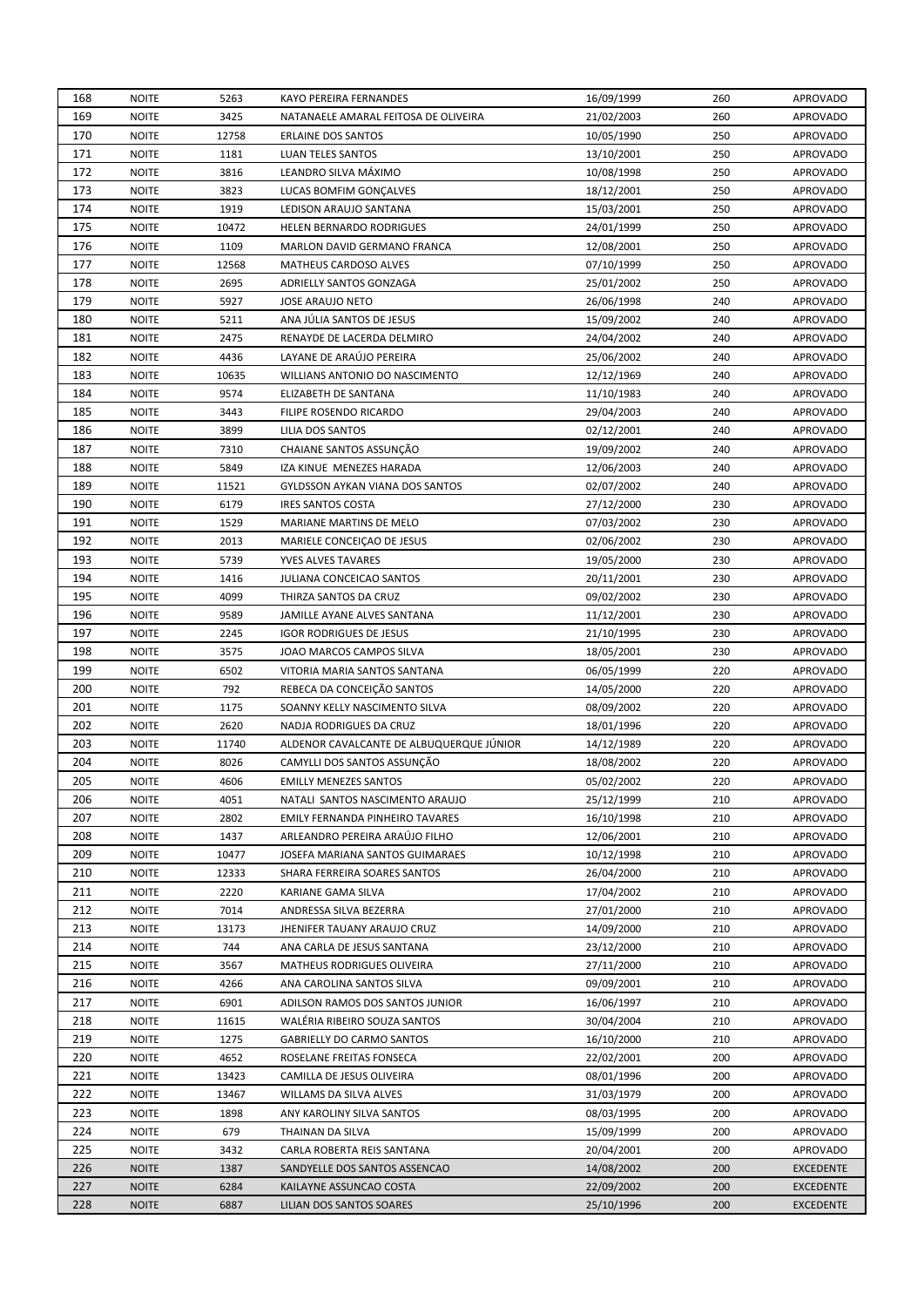| 168 | <b>NOITE</b> | 5263  | KAYO PEREIRA FERNANDES                   | 16/09/1999               | 260 | <b>APROVADO</b>  |
|-----|--------------|-------|------------------------------------------|--------------------------|-----|------------------|
| 169 | <b>NOITE</b> | 3425  | NATANAELE AMARAL FEITOSA DE OLIVEIRA     | 21/02/2003               | 260 | <b>APROVADO</b>  |
| 170 | <b>NOITE</b> | 12758 | <b>ERLAINE DOS SANTOS</b>                | 10/05/1990               | 250 | <b>APROVADO</b>  |
| 171 | <b>NOITE</b> | 1181  | LUAN TELES SANTOS                        | 13/10/2001               | 250 | <b>APROVADO</b>  |
| 172 | <b>NOITE</b> | 3816  | LEANDRO SILVA MÁXIMO                     | 10/08/1998               | 250 | <b>APROVADO</b>  |
| 173 | <b>NOITE</b> | 3823  | LUCAS BOMFIM GONÇALVES                   | 18/12/2001               | 250 | <b>APROVADO</b>  |
| 174 | <b>NOITE</b> | 1919  | LEDISON ARAUJO SANTANA                   | 15/03/2001               | 250 | <b>APROVADO</b>  |
| 175 | <b>NOITE</b> | 10472 | <b>HELEN BERNARDO RODRIGUES</b>          | 24/01/1999               | 250 | <b>APROVADO</b>  |
| 176 | <b>NOITE</b> | 1109  | MARLON DAVID GERMANO FRANCA              | 12/08/2001               | 250 | <b>APROVADO</b>  |
| 177 | <b>NOITE</b> | 12568 | MATHEUS CARDOSO ALVES                    | 07/10/1999               | 250 | APROVADO         |
| 178 | <b>NOITE</b> | 2695  | ADRIELLY SANTOS GONZAGA                  | 25/01/2002               | 250 | APROVADO         |
| 179 | <b>NOITE</b> | 5927  | <b>JOSE ARAUJO NETO</b>                  | 26/06/1998               | 240 | APROVADO         |
| 180 | <b>NOITE</b> | 5211  | ANA JULIA SANTOS DE JESUS                | 15/09/2002               | 240 | APROVADO         |
| 181 | <b>NOITE</b> | 2475  | RENAYDE DE LACERDA DELMIRO               | 24/04/2002               | 240 | <b>APROVADO</b>  |
| 182 | <b>NOITE</b> | 4436  | LAYANE DE ARAÚJO PEREIRA                 | 25/06/2002               | 240 | <b>APROVADO</b>  |
| 183 | <b>NOITE</b> | 10635 | WILLIANS ANTONIO DO NASCIMENTO           | 12/12/1969               | 240 | <b>APROVADO</b>  |
| 184 | <b>NOITE</b> | 9574  | ELIZABETH DE SANTANA                     |                          | 240 | <b>APROVADO</b>  |
| 185 | <b>NOITE</b> | 3443  | FILIPE ROSENDO RICARDO                   | 11/10/1983<br>29/04/2003 | 240 | <b>APROVADO</b>  |
|     |              |       |                                          |                          |     |                  |
| 186 | <b>NOITE</b> | 3899  | LILIA DOS SANTOS                         | 02/12/2001               | 240 | <b>APROVADO</b>  |
| 187 | <b>NOITE</b> | 7310  | CHAIANE SANTOS ASSUNÇÃO                  | 19/09/2002               | 240 | <b>APROVADO</b>  |
| 188 | <b>NOITE</b> | 5849  | IZA KINUE MENEZES HARADA                 | 12/06/2003               | 240 | <b>APROVADO</b>  |
| 189 | <b>NOITE</b> | 11521 | <b>GYLDSSON AYKAN VIANA DOS SANTOS</b>   | 02/07/2002               | 240 | <b>APROVADO</b>  |
| 190 | <b>NOITE</b> | 6179  | <b>IRES SANTOS COSTA</b>                 | 27/12/2000               | 230 | <b>APROVADO</b>  |
| 191 | <b>NOITE</b> | 1529  | MARIANE MARTINS DE MELO                  | 07/03/2002               | 230 | <b>APROVADO</b>  |
| 192 | <b>NOITE</b> | 2013  | MARIELE CONCEIÇÃO DE JESUS               | 02/06/2002               | 230 | <b>APROVADO</b>  |
| 193 | <b>NOITE</b> | 5739  | YVES ALVES TAVARES                       | 19/05/2000               | 230 | <b>APROVADO</b>  |
| 194 | <b>NOITE</b> | 1416  | JULIANA CONCEICAO SANTOS                 | 20/11/2001               | 230 | <b>APROVADO</b>  |
| 195 | <b>NOITE</b> | 4099  | THIRZA SANTOS DA CRUZ                    | 09/02/2002               | 230 | <b>APROVADO</b>  |
| 196 | <b>NOITE</b> | 9589  | JAMILLE AYANE ALVES SANTANA              | 11/12/2001               | 230 | <b>APROVADO</b>  |
| 197 | <b>NOITE</b> | 2245  | <b>IGOR RODRIGUES DE JESUS</b>           | 21/10/1995               | 230 | <b>APROVADO</b>  |
| 198 | <b>NOITE</b> | 3575  | JOAO MARCOS CAMPOS SILVA                 | 18/05/2001               | 230 | <b>APROVADO</b>  |
| 199 | <b>NOITE</b> | 6502  | VITORIA MARIA SANTOS SANTANA             | 06/05/1999               | 220 | <b>APROVADO</b>  |
| 200 | <b>NOITE</b> | 792   | REBECA DA CONCEIÇÃO SANTOS               | 14/05/2000               | 220 | <b>APROVADO</b>  |
| 201 | <b>NOITE</b> | 1175  | SOANNY KELLY NASCIMENTO SILVA            | 08/09/2002               | 220 | <b>APROVADO</b>  |
| 202 | <b>NOITE</b> | 2620  | NADJA RODRIGUES DA CRUZ                  | 18/01/1996               | 220 | APROVADO         |
| 203 | <b>NOITE</b> | 11740 | ALDENOR CAVALCANTE DE ALBUQUERQUE JÚNIOR | 14/12/1989               | 220 | <b>APROVADO</b>  |
| 204 | <b>NOITE</b> | 8026  | CAMYLLI DOS SANTOS ASSUNÇÃO              | 18/08/2002               | 220 | <b>APROVADO</b>  |
| 205 | <b>NOITE</b> | 4606  | <b>EMILLY MENEZES SANTOS</b>             | 05/02/2002               | 220 | APROVADO         |
| 206 | <b>NOITE</b> | 4051  | NATALI SANTOS NASCIMENTO ARAUJO          | 25/12/1999               | 210 | <b>APROVADO</b>  |
| 207 | <b>NOITE</b> | 2802  | EMILY FERNANDA PINHEIRO TAVARES          | 16/10/1998               | 210 | <b>APROVADO</b>  |
| 208 | <b>NOITE</b> | 1437  | ARLEANDRO PEREIRA ARAÚJO FILHO           | 12/06/2001               | 210 | <b>APROVADO</b>  |
| 209 | <b>NOITE</b> | 10477 | JOSEFA MARIANA SANTOS GUIMARAES          | 10/12/1998               | 210 | <b>APROVADO</b>  |
| 210 | <b>NOITE</b> | 12333 | SHARA FERREIRA SOARES SANTOS             | 26/04/2000               | 210 | <b>APROVADO</b>  |
| 211 | <b>NOITE</b> | 2220  | KARIANE GAMA SILVA                       | 17/04/2002               | 210 | <b>APROVADO</b>  |
| 212 | <b>NOITE</b> | 7014  | ANDRESSA SILVA BEZERRA                   | 27/01/2000               | 210 | <b>APROVADO</b>  |
| 213 | <b>NOITE</b> | 13173 | JHENIFER TAUANY ARAUJO CRUZ              | 14/09/2000               | 210 | <b>APROVADO</b>  |
| 214 | <b>NOITE</b> | 744   | ANA CARLA DE JESUS SANTANA               | 23/12/2000               | 210 | <b>APROVADO</b>  |
| 215 | <b>NOITE</b> | 3567  | MATHEUS RODRIGUES OLIVEIRA               | 27/11/2000               | 210 | <b>APROVADO</b>  |
| 216 | <b>NOITE</b> | 4266  | ANA CAROLINA SANTOS SILVA                | 09/09/2001               | 210 | <b>APROVADO</b>  |
| 217 | <b>NOITE</b> | 6901  | ADILSON RAMOS DOS SANTOS JUNIOR          | 16/06/1997               | 210 | <b>APROVADO</b>  |
| 218 | <b>NOITE</b> | 11615 | WALÉRIA RIBEIRO SOUZA SANTOS             | 30/04/2004               | 210 | <b>APROVADO</b>  |
| 219 | <b>NOITE</b> | 1275  | GABRIELLY DO CARMO SANTOS                | 16/10/2000               | 210 | <b>APROVADO</b>  |
| 220 | <b>NOITE</b> | 4652  | ROSELANE FREITAS FONSECA                 | 22/02/2001               | 200 | <b>APROVADO</b>  |
| 221 |              |       |                                          |                          | 200 |                  |
|     | <b>NOITE</b> | 13423 | CAMILLA DE JESUS OLIVEIRA                | 08/01/1996               |     | <b>APROVADO</b>  |
| 222 | <b>NOITE</b> | 13467 | WILLAMS DA SILVA ALVES                   | 31/03/1979               | 200 | <b>APROVADO</b>  |
| 223 | <b>NOITE</b> | 1898  | ANY KAROLINY SILVA SANTOS                | 08/03/1995               | 200 | <b>APROVADO</b>  |
| 224 | <b>NOITE</b> | 679   | THAINAN DA SILVA                         | 15/09/1999               | 200 | <b>APROVADO</b>  |
| 225 | <b>NOITE</b> | 3432  | CARLA ROBERTA REIS SANTANA               | 20/04/2001               | 200 | <b>APROVADO</b>  |
| 226 | <b>NOITE</b> | 1387  | SANDYELLE DOS SANTOS ASSENCAO            | 14/08/2002               | 200 | EXCEDENTE        |
| 227 | <b>NOITE</b> | 6284  | KAILAYNE ASSUNCAO COSTA                  | 22/09/2002               | 200 | EXCEDENTE        |
| 228 | <b>NOITE</b> | 6887  | LILIAN DOS SANTOS SOARES                 | 25/10/1996               | 200 | <b>EXCEDENTE</b> |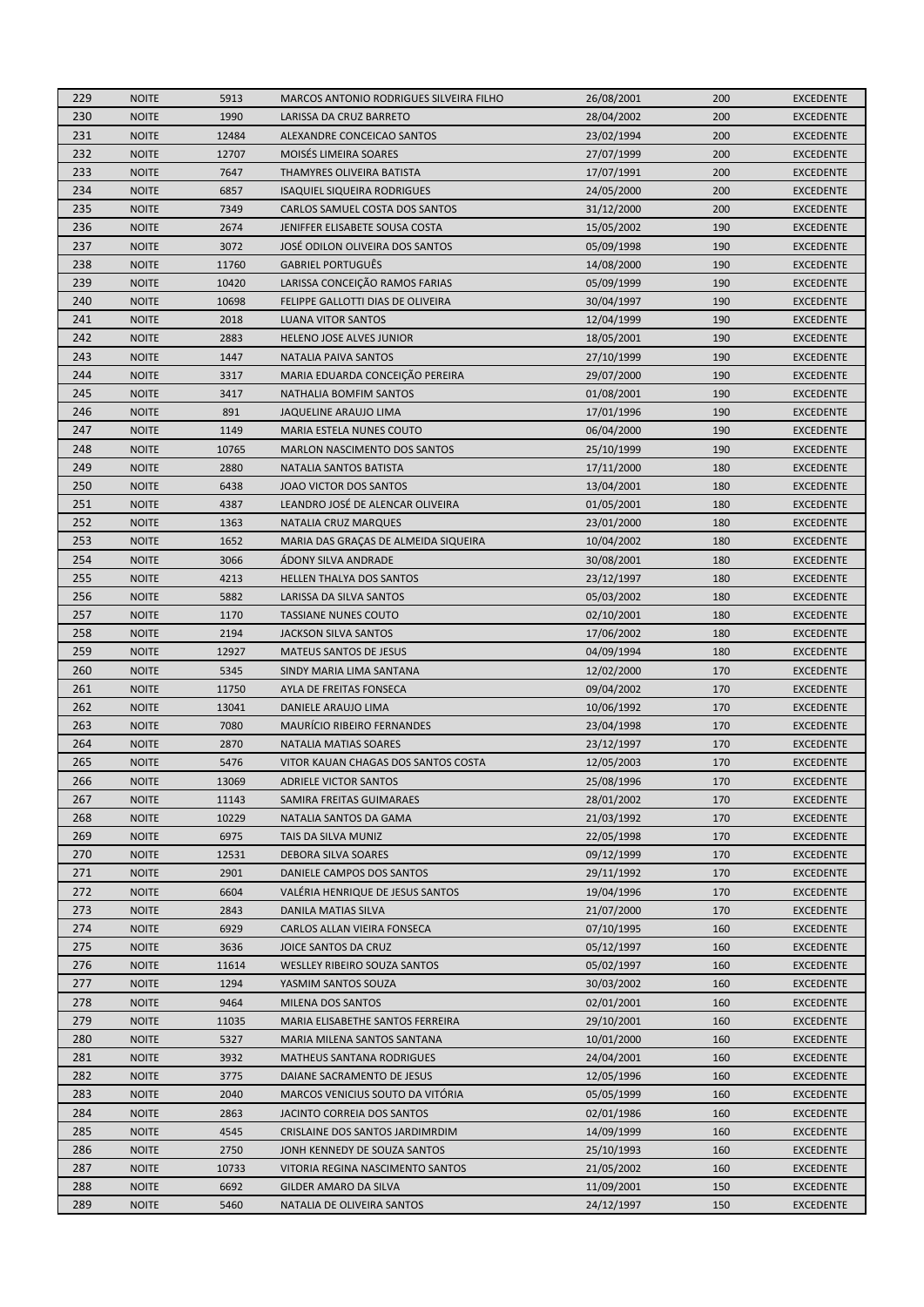| 229 | <b>NOITE</b> | 5913  | <b>MARCOS ANTONIO RODRIGUES SILVEIRA FILHO</b> | 26/08/2001 | 200 | <b>EXCEDENTE</b> |
|-----|--------------|-------|------------------------------------------------|------------|-----|------------------|
| 230 | <b>NOITE</b> | 1990  | <b>LARISSA DA CRUZ BARRETO</b>                 | 28/04/2002 | 200 | <b>EXCEDENTE</b> |
| 231 | <b>NOITE</b> | 12484 | ALEXANDRE CONCEICAO SANTOS                     | 23/02/1994 | 200 | <b>EXCEDENTE</b> |
| 232 | <b>NOITE</b> | 12707 | MOISÉS LIMEIRA SOARES                          | 27/07/1999 | 200 | <b>EXCEDENTE</b> |
| 233 | <b>NOITE</b> | 7647  | THAMYRES OLIVEIRA BATISTA                      | 17/07/1991 | 200 | <b>EXCEDENTE</b> |
| 234 | <b>NOITE</b> | 6857  | <b>ISAQUIEL SIQUEIRA RODRIGUES</b>             | 24/05/2000 | 200 | <b>EXCEDENTE</b> |
| 235 | <b>NOITE</b> | 7349  | CARLOS SAMUEL COSTA DOS SANTOS                 | 31/12/2000 | 200 | <b>EXCEDENTE</b> |
| 236 | <b>NOITE</b> | 2674  | JENIFFER ELISABETE SOUSA COSTA                 | 15/05/2002 | 190 | <b>EXCEDENTE</b> |
| 237 | <b>NOITE</b> | 3072  | JOSÉ ODILON OLIVEIRA DOS SANTOS                | 05/09/1998 | 190 | <b>EXCEDENTE</b> |
| 238 | <b>NOITE</b> | 11760 | <b>GABRIEL PORTUGUÊS</b>                       | 14/08/2000 | 190 | <b>EXCEDENTE</b> |
| 239 | <b>NOITE</b> | 10420 | LARISSA CONCEIÇÃO RAMOS FARIAS                 | 05/09/1999 | 190 | <b>EXCEDENTE</b> |
| 240 | <b>NOITE</b> | 10698 | FELIPPE GALLOTTI DIAS DE OLIVEIRA              | 30/04/1997 | 190 | <b>EXCEDENTE</b> |
| 241 | <b>NOITE</b> | 2018  | <b>LUANA VITOR SANTOS</b>                      | 12/04/1999 | 190 | <b>EXCEDENTE</b> |
| 242 | <b>NOITE</b> | 2883  | HELENO JOSE ALVES JUNIOR                       | 18/05/2001 | 190 | <b>EXCEDENTE</b> |
| 243 | <b>NOITE</b> | 1447  | NATALIA PAIVA SANTOS                           | 27/10/1999 | 190 | <b>EXCEDENTE</b> |
| 244 | <b>NOITE</b> | 3317  | MARIA EDUARDA CONCEIÇÃO PEREIRA                | 29/07/2000 | 190 | <b>EXCEDENTE</b> |
| 245 | <b>NOITE</b> | 3417  | NATHALIA BOMFIM SANTOS                         | 01/08/2001 | 190 | <b>EXCEDENTE</b> |
| 246 | <b>NOITE</b> | 891   | JAQUELINE ARAUJO LIMA                          | 17/01/1996 | 190 | <b>EXCEDENTE</b> |
| 247 | <b>NOITE</b> | 1149  |                                                |            | 190 |                  |
|     |              |       | MARIA ESTELA NUNES COUTO                       | 06/04/2000 |     | <b>EXCEDENTE</b> |
| 248 | <b>NOITE</b> | 10765 | MARLON NASCIMENTO DOS SANTOS                   | 25/10/1999 | 190 | <b>EXCEDENTE</b> |
| 249 | <b>NOITE</b> | 2880  | NATALIA SANTOS BATISTA                         | 17/11/2000 | 180 | <b>EXCEDENTE</b> |
| 250 | <b>NOITE</b> | 6438  | JOAO VICTOR DOS SANTOS                         | 13/04/2001 | 180 | <b>EXCEDENTE</b> |
| 251 | <b>NOITE</b> | 4387  | LEANDRO JOSÉ DE ALENCAR OLIVEIRA               | 01/05/2001 | 180 | <b>EXCEDENTE</b> |
| 252 | <b>NOITE</b> | 1363  | <b>NATALIA CRUZ MARQUES</b>                    | 23/01/2000 | 180 | <b>EXCEDENTE</b> |
| 253 | <b>NOITE</b> | 1652  | MARIA DAS GRAÇAS DE ALMEIDA SIQUEIRA           | 10/04/2002 | 180 | <b>EXCEDENTE</b> |
| 254 | <b>NOITE</b> | 3066  | ÁDONY SILVA ANDRADE                            | 30/08/2001 | 180 | <b>EXCEDENTE</b> |
| 255 | <b>NOITE</b> | 4213  | HELLEN THALYA DOS SANTOS                       | 23/12/1997 | 180 | <b>EXCEDENTE</b> |
| 256 | <b>NOITE</b> | 5882  | LARISSA DA SILVA SANTOS                        | 05/03/2002 | 180 | <b>EXCEDENTE</b> |
| 257 | <b>NOITE</b> | 1170  | <b>TASSIANE NUNES COUTO</b>                    | 02/10/2001 | 180 | <b>EXCEDENTE</b> |
| 258 | <b>NOITE</b> | 2194  | <b>JACKSON SILVA SANTOS</b>                    | 17/06/2002 | 180 | <b>EXCEDENTE</b> |
| 259 | <b>NOITE</b> | 12927 | <b>MATEUS SANTOS DE JESUS</b>                  | 04/09/1994 | 180 | <b>EXCEDENTE</b> |
| 260 | <b>NOITE</b> | 5345  | SINDY MARIA LIMA SANTANA                       | 12/02/2000 | 170 | <b>EXCEDENTE</b> |
| 261 | <b>NOITE</b> | 11750 | AYLA DE FREITAS FONSECA                        | 09/04/2002 | 170 | <b>EXCEDENTE</b> |
| 262 | <b>NOITE</b> | 13041 | DANIELE ARAUJO LIMA                            | 10/06/1992 | 170 | <b>EXCEDENTE</b> |
| 263 | <b>NOITE</b> | 7080  | <b>MAURÍCIO RIBEIRO FERNANDES</b>              | 23/04/1998 | 170 | <b>EXCEDENTE</b> |
| 264 | <b>NOITE</b> | 2870  | <b>NATALIA MATIAS SOARES</b>                   | 23/12/1997 | 170 | <b>EXCEDENTE</b> |
| 265 | <b>NOITE</b> | 5476  | VITOR KAUAN CHAGAS DOS SANTOS COSTA            | 12/05/2003 | 170 | <b>EXCEDENTE</b> |
| 266 | <b>NOITE</b> | 13069 | <b>ADRIELE VICTOR SANTOS</b>                   | 25/08/1996 | 170 | <b>EXCEDENTE</b> |
| 267 | <b>NOITE</b> | 11143 | SAMIRA FREITAS GUIMARAES                       | 28/01/2002 | 170 | <b>EXCEDENTE</b> |
| 268 | <b>NOITE</b> | 10229 | NATALIA SANTOS DA GAMA                         | 21/03/1992 | 170 | <b>EXCEDENTE</b> |
| 269 | <b>NOITE</b> | 6975  | TAIS DA SILVA MUNIZ                            | 22/05/1998 | 170 | <b>EXCEDENTE</b> |
| 270 | <b>NOITE</b> | 12531 | DEBORA SILVA SOARES                            | 09/12/1999 | 170 | <b>EXCEDENTE</b> |
| 271 | <b>NOITE</b> | 2901  | DANIELE CAMPOS DOS SANTOS                      | 29/11/1992 | 170 | <b>EXCEDENTE</b> |
| 272 | <b>NOITE</b> | 6604  | VALERIA HENRIQUE DE JESUS SANTOS               | 19/04/1996 | 170 | <b>EXCEDENTE</b> |
| 273 | <b>NOITE</b> | 2843  | DANILA MATIAS SILVA                            | 21/07/2000 | 170 | <b>EXCEDENTE</b> |
| 274 | <b>NOITE</b> | 6929  | CARLOS ALLAN VIEIRA FONSECA                    | 07/10/1995 | 160 | <b>EXCEDENTE</b> |
| 275 | <b>NOITE</b> | 3636  | JOICE SANTOS DA CRUZ                           | 05/12/1997 | 160 | <b>EXCEDENTE</b> |
| 276 | <b>NOITE</b> | 11614 | <b>WESLLEY RIBEIRO SOUZA SANTOS</b>            | 05/02/1997 | 160 | <b>EXCEDENTE</b> |
| 277 | <b>NOITE</b> | 1294  | YASMIM SANTOS SOUZA                            | 30/03/2002 | 160 | <b>EXCEDENTE</b> |
| 278 | NOITE        | 9464  | MILENA DOS SANTOS                              | 02/01/2001 | 160 | <b>EXCEDENTE</b> |
| 279 | <b>NOITE</b> | 11035 | MARIA ELISABETHE SANTOS FERREIRA               | 29/10/2001 | 160 | <b>EXCEDENTE</b> |
| 280 | NOITE        | 5327  | MARIA MILENA SANTOS SANTANA                    | 10/01/2000 | 160 | <b>EXCEDENTE</b> |
| 281 | <b>NOITE</b> | 3932  | <b>MATHEUS SANTANA RODRIGUES</b>               | 24/04/2001 | 160 | <b>EXCEDENTE</b> |
| 282 | <b>NOITE</b> | 3775  | DAIANE SACRAMENTO DE JESUS                     | 12/05/1996 | 160 | <b>EXCEDENTE</b> |
| 283 | <b>NOITE</b> | 2040  | MARCOS VENICIUS SOUTO DA VITÓRIA               | 05/05/1999 | 160 | <b>EXCEDENTE</b> |
| 284 | <b>NOITE</b> | 2863  | JACINTO CORREIA DOS SANTOS                     | 02/01/1986 | 160 | <b>EXCEDENTE</b> |
| 285 | <b>NOITE</b> | 4545  | CRISLAINE DOS SANTOS JARDIMRDIM                | 14/09/1999 | 160 | <b>EXCEDENTE</b> |
| 286 | <b>NOITE</b> | 2750  | JONH KENNEDY DE SOUZA SANTOS                   | 25/10/1993 | 160 | <b>EXCEDENTE</b> |
| 287 | <b>NOITE</b> | 10733 | VITORIA REGINA NASCIMENTO SANTOS               | 21/05/2002 | 160 | <b>EXCEDENTE</b> |
| 288 | <b>NOITE</b> | 6692  | GILDER AMARO DA SILVA                          |            | 150 | <b>EXCEDENTE</b> |
|     |              |       |                                                | 11/09/2001 |     |                  |
| 289 | <b>NOITE</b> | 5460  | NATALIA DE OLIVEIRA SANTOS                     | 24/12/1997 | 150 | <b>EXCEDENTE</b> |